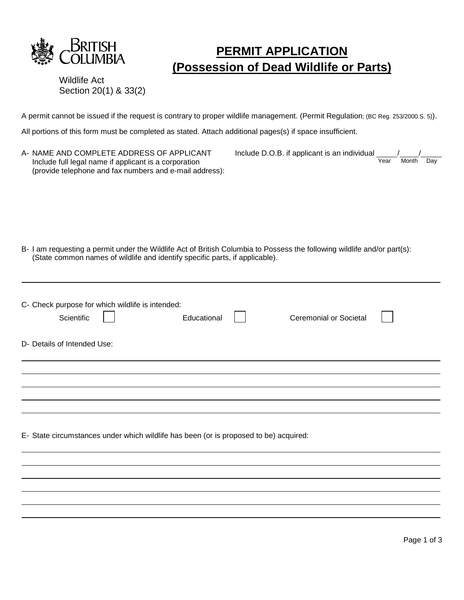

## **PERMIT APPLICATION (Possession of Dead Wildlife or Parts)**

Wildlife Act Section 20(1) & 33(2)

A permit cannot be issued if the request is contrary to proper wildlife management. (Permit Regulation; (BC Reg. 253/2000 S. 5)).

All portions of this form must be completed as stated. Attach additional pages(s) if space insufficient.

| A- NAME AND COMPLETE ADDRESS OF APPLICANT<br>Include full legal name if applicant is a corporation<br>(provide telephone and fax numbers and e-mail address):                                            | Include D.O.B. if applicant is an individual<br>Year<br>Month<br>Day |
|----------------------------------------------------------------------------------------------------------------------------------------------------------------------------------------------------------|----------------------------------------------------------------------|
| B- I am requesting a permit under the Wildlife Act of British Columbia to Possess the following wildlife and/or part(s):<br>(State common names of wildlife and identify specific parts, if applicable). |                                                                      |
| C- Check purpose for which wildlife is intended:<br>Educational<br>Scientific<br>D- Details of Intended Use:                                                                                             | <b>Ceremonial or Societal</b>                                        |
|                                                                                                                                                                                                          |                                                                      |
| E- State circumstances under which wildlife has been (or is proposed to be) acquired:                                                                                                                    |                                                                      |
|                                                                                                                                                                                                          |                                                                      |
|                                                                                                                                                                                                          |                                                                      |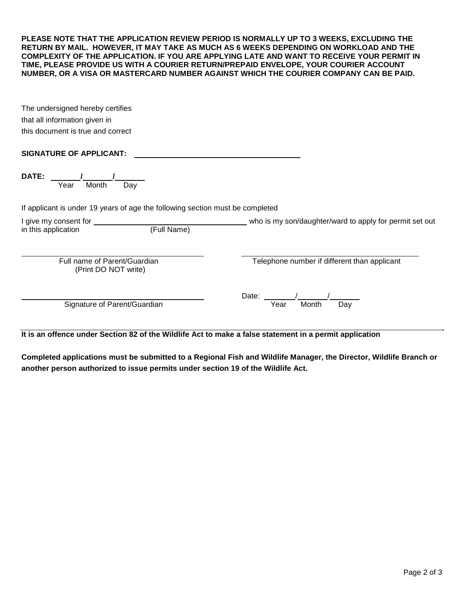**PLEASE NOTE THAT THE APPLICATION REVIEW PERIOD IS NORMALLY UP TO 3 WEEKS, EXCLUDING THE RETURN BY MAIL. HOWEVER, IT MAY TAKE AS MUCH AS 6 WEEKS DEPENDING ON WORKLOAD AND THE COMPLEXITY OF THE APPLICATION. IF YOU ARE APPLYING LATE AND WANT TO RECEIVE YOUR PERMIT IN TIME, PLEASE PROVIDE US WITH A COURIER RETURN/PREPAID ENVELOPE, YOUR COURIER ACCOUNT NUMBER, OR A VISA OR MASTERCARD NUMBER AGAINST WHICH THE COURIER COMPANY CAN BE PAID.**

| The undersigned hereby certifies  |
|-----------------------------------|
| that all information given in     |
| this document is true and correct |

## **SIGNATURE OF APPLICANT:**

| DATE:<br>Month<br>Year<br>Day                                                                           |                                                         |  |  |
|---------------------------------------------------------------------------------------------------------|---------------------------------------------------------|--|--|
| If applicant is under 19 years of age the following section must be completed                           |                                                         |  |  |
| I give my consent for<br>(Full Name)<br>in this application                                             | who is my son/daughter/ward to apply for permit set out |  |  |
| Full name of Parent/Guardian<br>(Print DO NOT write)                                                    | Telephone number if different than applicant            |  |  |
| Signature of Parent/Guardian                                                                            | Date:<br>Year<br>Month<br>Day                           |  |  |
| It is an offence under Section 82 of the Wildlife Act to make a false statement in a permit application |                                                         |  |  |

**Completed applications must be submitted to a Regional Fish and Wildlife Manager, the Director, Wildlife Branch or another person authorized to issue permits under section 19 of the Wildlife Act.**